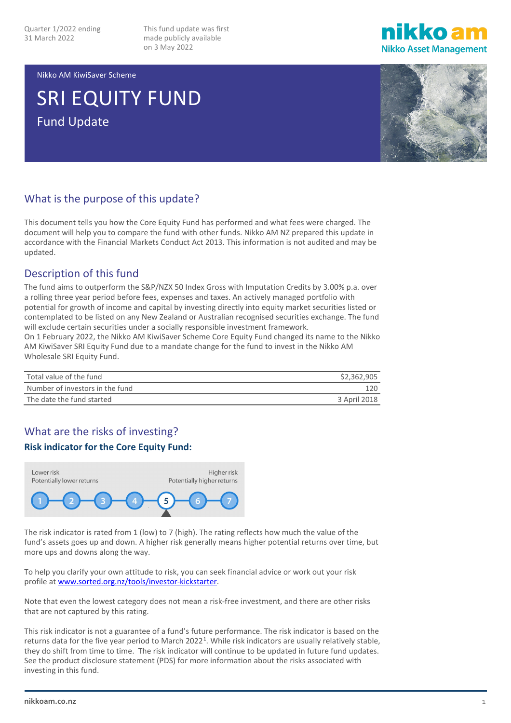This fund update was first made publicly available on 3 May 2022



Nikko AM KiwiSaver Scheme

# SRI EQUITY FUND Fund Update



#### What is the purpose of this update?

This document tells you how the Core Equity Fund has performed and what fees were charged. The document will help you to compare the fund with other funds. Nikko AM NZ prepared this update in accordance with the Financial Markets Conduct Act 2013. This information is not audited and may be updated.

#### Description of this fund

The fund aims to outperform the S&P/NZX 50 Index Gross with Imputation Credits by 3.00% p.a. over a rolling three year period before fees, expenses and taxes. An actively managed portfolio with potential for growth of income and capital by investing directly into equity market securities listed or contemplated to be listed on any New Zealand or Australian recognised securities exchange. The fund will exclude certain securities under a socially responsible investment framework.

On 1 February 2022, the Nikko AM KiwiSaver Scheme Core Equity Fund changed its name to the Nikko AM KiwiSaver SRI Equity Fund due to a mandate change for the fund to invest in the Nikko AM Wholesale SRI Equity Fund.

| Total value of the fund         | \$2,362,905  |
|---------------------------------|--------------|
| Number of investors in the fund | 120          |
| The date the fund started       | 3 April 2018 |

#### What are the risks of investing?

#### **Risk indicator for the Core Equity Fund:**



The risk indicator is rated from 1 (low) to 7 (high). The rating reflects how much the value of the fund's assets goes up and down. A higher risk generally means higher potential returns over time, but more ups and downs along the way.

To help you clarify your own attitude to risk, you can seek financial advice or work out your risk profile a[t www.sorted.org.nz/tools/investor-kickstarter.](http://www.sorted.org.nz/tools/investor-kickstarter)

Note that even the lowest category does not mean a risk-free investment, and there are other risks that are not captured by this rating.

This risk indicator is not a guarantee of a fund's future performance. The risk indicator is based on the returns data for the five year period to March 2022<sup>[1](#page-4-0)</sup>. While risk indicators are usually relatively stable, they do shift from time to time. The risk indicator will continue to be updated in future fund updates. See the product disclosure statement (PDS) for more information about the risks associated with investing in this fund.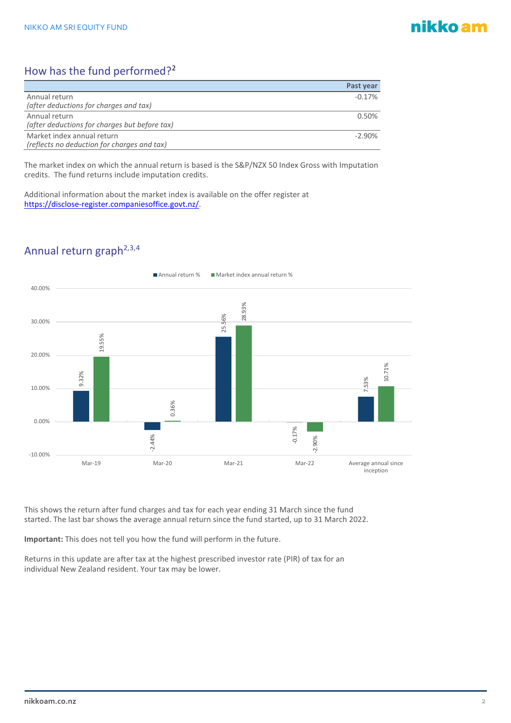## nikko am

### How has the fund performed?<sup>[2](#page-4-1)</sup>

|                                               | Past year |
|-----------------------------------------------|-----------|
| Annual return                                 | $-0.17%$  |
| (after deductions for charges and tax)        |           |
| Annual return                                 | 0.50%     |
| (after deductions for charges but before tax) |           |
| Market index annual return                    | $-2.90%$  |
| (reflects no deduction for charges and tax)   |           |

The market index on which the annual return is based is the S&P/NZX 50 Index Gross with Imputation credits. The fund returns include imputation credits.

Additional information about the market index is available on the offer register at [https://disclose-register.companiesoffice.govt.nz/.](https://disclose-register.companiesoffice.govt.nz/)

## Annual return graph<sup>2,[3,](#page-4-2)[4](#page-4-3)</sup>



This shows the return after fund charges and tax for each year ending 31 March since the fund started. The last bar shows the average annual return since the fund started, up to 31 March 2022.

**Important:** This does not tell you how the fund will perform in the future.

Returns in this update are after tax at the highest prescribed investor rate (PIR) of tax for an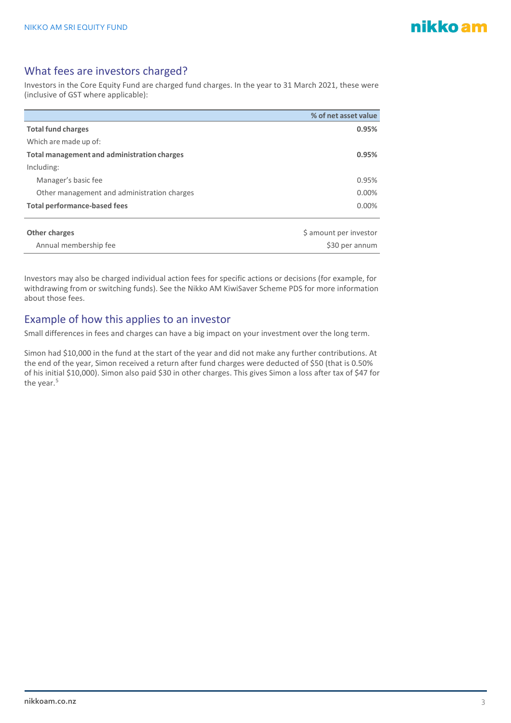#### What fees are investors charged?

Investors in the Core Equity Fund are charged fund charges. In the year to 31 March 2021, these were (inclusive of GST where applicable):

|                                             | % of net asset value   |
|---------------------------------------------|------------------------|
| <b>Total fund charges</b>                   | 0.95%                  |
| Which are made up of:                       |                        |
| Total management and administration charges | 0.95%                  |
| Including:                                  |                        |
| Manager's basic fee                         | 0.95%                  |
| Other management and administration charges | 0.00%                  |
| <b>Total performance-based fees</b>         | 0.00%                  |
|                                             |                        |
| <b>Other charges</b>                        | \$ amount per investor |
| Annual membership fee                       | \$30 per annum         |

Investors may also be charged individual action fees for specific actions or decisions (for example, for withdrawing from or switching funds). See the Nikko AM KiwiSaver Scheme PDS for more information about those fees.

#### Example of how this applies to an investor

Small differences in fees and charges can have a big impact on your investment over the long term.

Simon had \$10,000 in the fund at the start of the year and did not make any further contributions. At the end of the year, Simon received a return after fund charges were deducted of \$50 (that is 0.50% of his initial \$10,000). Simon also paid \$30 in other charges. This gives Simon a loss after tax of \$47 for the year. [5](#page-4-4)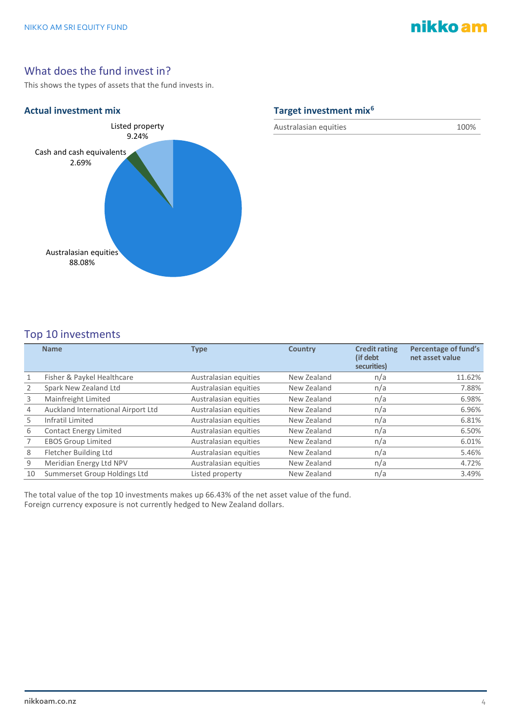## nikko am

#### What does the fund invest in?

This shows the types of assets that the fund invests in.



Australasian equities 100%

#### Top 10 investments

|    | <b>Name</b>                        | <b>Type</b>           | <b>Country</b> | <b>Credit rating</b><br>(if debt)<br>securities) | Percentage of fund's<br>net asset value |
|----|------------------------------------|-----------------------|----------------|--------------------------------------------------|-----------------------------------------|
|    | Fisher & Paykel Healthcare         | Australasian equities | New Zealand    | n/a                                              | 11.62%                                  |
|    | Spark New Zealand Ltd              | Australasian equities | New Zealand    | n/a                                              | 7.88%                                   |
| 3  | Mainfreight Limited                | Australasian equities | New Zealand    | n/a                                              | 6.98%                                   |
| 4  | Auckland International Airport Ltd | Australasian equities | New Zealand    | n/a                                              | 6.96%                                   |
| 5  | Infratil Limited                   | Australasian equities | New Zealand    | n/a                                              | 6.81%                                   |
| 6  | <b>Contact Energy Limited</b>      | Australasian equities | New Zealand    | n/a                                              | 6.50%                                   |
|    | <b>EBOS Group Limited</b>          | Australasian equities | New Zealand    | n/a                                              | 6.01%                                   |
| 8  | Fletcher Building Ltd              | Australasian equities | New Zealand    | n/a                                              | 5.46%                                   |
| 9  | Meridian Energy Ltd NPV            | Australasian equities | New Zealand    | n/a                                              | 4.72%                                   |
| 10 | Summerset Group Holdings Ltd       | Listed property       | New Zealand    | n/a                                              | 3.49%                                   |

The total value of the top 10 investments makes up 66.43% of the net asset value of the fund. Foreign currency exposure is not currently hedged to New Zealand dollars.